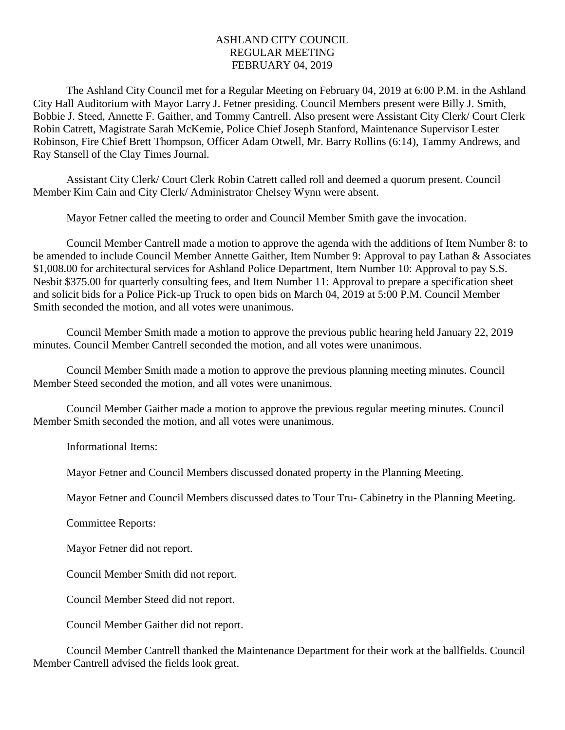## ASHLAND CITY COUNCIL REGULAR MEETING FEBRUARY 04, 2019

The Ashland City Council met for a Regular Meeting on February 04, 2019 at 6:00 P.M. in the Ashland City Hall Auditorium with Mayor Larry J. Fetner presiding. Council Members present were Billy J. Smith, Bobbie J. Steed, Annette F. Gaither, and Tommy Cantrell. Also present were Assistant City Clerk/ Court Clerk Robin Catrett, Magistrate Sarah McKemie, Police Chief Joseph Stanford, Maintenance Supervisor Lester Robinson, Fire Chief Brett Thompson, Officer Adam Otwell, Mr. Barry Rollins (6:14), Tammy Andrews, and Ray Stansell of the Clay Times Journal.

Assistant City Clerk/ Court Clerk Robin Catrett called roll and deemed a quorum present. Council Member Kim Cain and City Clerk/ Administrator Chelsey Wynn were absent.

Mayor Fetner called the meeting to order and Council Member Smith gave the invocation.

Council Member Cantrell made a motion to approve the agenda with the additions of Item Number 8: to be amended to include Council Member Annette Gaither, Item Number 9: Approval to pay Lathan & Associates \$1,008.00 for architectural services for Ashland Police Department, Item Number 10: Approval to pay S.S. Nesbit \$375.00 for quarterly consulting fees, and Item Number 11: Approval to prepare a specification sheet and solicit bids for a Police Pick-up Truck to open bids on March 04, 2019 at 5:00 P.M. Council Member Smith seconded the motion, and all votes were unanimous.

Council Member Smith made a motion to approve the previous public hearing held January 22, 2019 minutes. Council Member Cantrell seconded the motion, and all votes were unanimous.

Council Member Smith made a motion to approve the previous planning meeting minutes. Council Member Steed seconded the motion, and all votes were unanimous.

Council Member Gaither made a motion to approve the previous regular meeting minutes. Council Member Smith seconded the motion, and all votes were unanimous.

Informational Items:

Mayor Fetner and Council Members discussed donated property in the Planning Meeting.

Mayor Fetner and Council Members discussed dates to Tour Tru- Cabinetry in the Planning Meeting.

Committee Reports:

Mayor Fetner did not report.

Council Member Smith did not report.

Council Member Steed did not report.

Council Member Gaither did not report.

Council Member Cantrell thanked the Maintenance Department for their work at the ballfields. Council Member Cantrell advised the fields look great.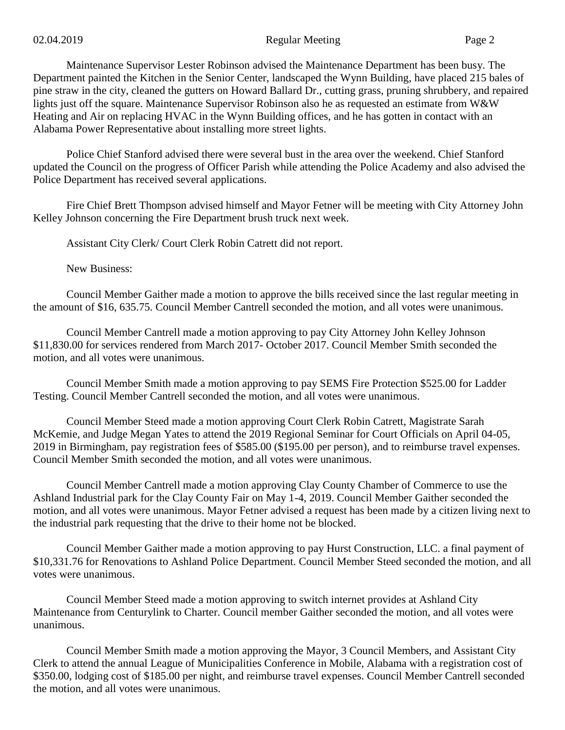Maintenance Supervisor Lester Robinson advised the Maintenance Department has been busy. The Department painted the Kitchen in the Senior Center, landscaped the Wynn Building, have placed 215 bales of pine straw in the city, cleaned the gutters on Howard Ballard Dr., cutting grass, pruning shrubbery, and repaired lights just off the square. Maintenance Supervisor Robinson also he as requested an estimate from W&W Heating and Air on replacing HVAC in the Wynn Building offices, and he has gotten in contact with an Alabama Power Representative about installing more street lights.

Police Chief Stanford advised there were several bust in the area over the weekend. Chief Stanford updated the Council on the progress of Officer Parish while attending the Police Academy and also advised the Police Department has received several applications.

Fire Chief Brett Thompson advised himself and Mayor Fetner will be meeting with City Attorney John Kelley Johnson concerning the Fire Department brush truck next week.

Assistant City Clerk/ Court Clerk Robin Catrett did not report.

New Business:

Council Member Gaither made a motion to approve the bills received since the last regular meeting in the amount of \$16, 635.75. Council Member Cantrell seconded the motion, and all votes were unanimous.

Council Member Cantrell made a motion approving to pay City Attorney John Kelley Johnson \$11,830.00 for services rendered from March 2017- October 2017. Council Member Smith seconded the motion, and all votes were unanimous.

Council Member Smith made a motion approving to pay SEMS Fire Protection \$525.00 for Ladder Testing. Council Member Cantrell seconded the motion, and all votes were unanimous.

Council Member Steed made a motion approving Court Clerk Robin Catrett, Magistrate Sarah McKemie, and Judge Megan Yates to attend the 2019 Regional Seminar for Court Officials on April 04-05, 2019 in Birmingham, pay registration fees of \$585.00 (\$195.00 per person), and to reimburse travel expenses. Council Member Smith seconded the motion, and all votes were unanimous.

Council Member Cantrell made a motion approving Clay County Chamber of Commerce to use the Ashland Industrial park for the Clay County Fair on May 1-4, 2019. Council Member Gaither seconded the motion, and all votes were unanimous. Mayor Fetner advised a request has been made by a citizen living next to the industrial park requesting that the drive to their home not be blocked.

Council Member Gaither made a motion approving to pay Hurst Construction, LLC. a final payment of \$10,331.76 for Renovations to Ashland Police Department. Council Member Steed seconded the motion, and all votes were unanimous.

Council Member Steed made a motion approving to switch internet provides at Ashland City Maintenance from Centurylink to Charter. Council member Gaither seconded the motion, and all votes were unanimous.

Council Member Smith made a motion approving the Mayor, 3 Council Members, and Assistant City Clerk to attend the annual League of Municipalities Conference in Mobile, Alabama with a registration cost of \$350.00, lodging cost of \$185.00 per night, and reimburse travel expenses. Council Member Cantrell seconded the motion, and all votes were unanimous.